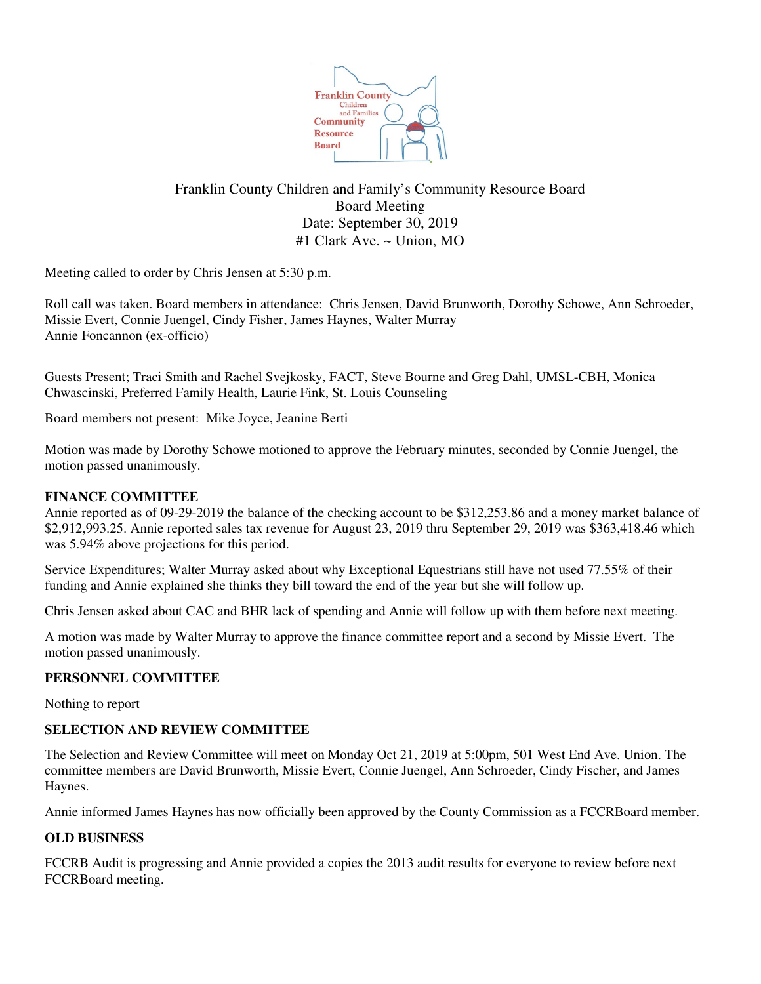

# Franklin County Children and Family's Community Resource Board Board Meeting Date: September 30, 2019 #1 Clark Ave. ~ Union, MO

Meeting called to order by Chris Jensen at 5:30 p.m.

Roll call was taken. Board members in attendance: Chris Jensen, David Brunworth, Dorothy Schowe, Ann Schroeder, Missie Evert, Connie Juengel, Cindy Fisher, James Haynes, Walter Murray Annie Foncannon (ex-officio)

Guests Present; Traci Smith and Rachel Svejkosky, FACT, Steve Bourne and Greg Dahl, UMSL-CBH, Monica Chwascinski, Preferred Family Health, Laurie Fink, St. Louis Counseling

Board members not present: Mike Joyce, Jeanine Berti

Motion was made by Dorothy Schowe motioned to approve the February minutes, seconded by Connie Juengel, the motion passed unanimously.

## **FINANCE COMMITTEE**

Annie reported as of 09-29-2019 the balance of the checking account to be \$312,253.86 and a money market balance of \$2,912,993.25. Annie reported sales tax revenue for August 23, 2019 thru September 29, 2019 was \$363,418.46 which was 5.94% above projections for this period.

Service Expenditures; Walter Murray asked about why Exceptional Equestrians still have not used 77.55% of their funding and Annie explained she thinks they bill toward the end of the year but she will follow up.

Chris Jensen asked about CAC and BHR lack of spending and Annie will follow up with them before next meeting.

A motion was made by Walter Murray to approve the finance committee report and a second by Missie Evert. The motion passed unanimously.

### **PERSONNEL COMMITTEE**

Nothing to report

### **SELECTION AND REVIEW COMMITTEE**

The Selection and Review Committee will meet on Monday Oct 21, 2019 at 5:00pm, 501 West End Ave. Union. The committee members are David Brunworth, Missie Evert, Connie Juengel, Ann Schroeder, Cindy Fischer, and James Haynes.

Annie informed James Haynes has now officially been approved by the County Commission as a FCCRBoard member.

### **OLD BUSINESS**

FCCRB Audit is progressing and Annie provided a copies the 2013 audit results for everyone to review before next FCCRBoard meeting.